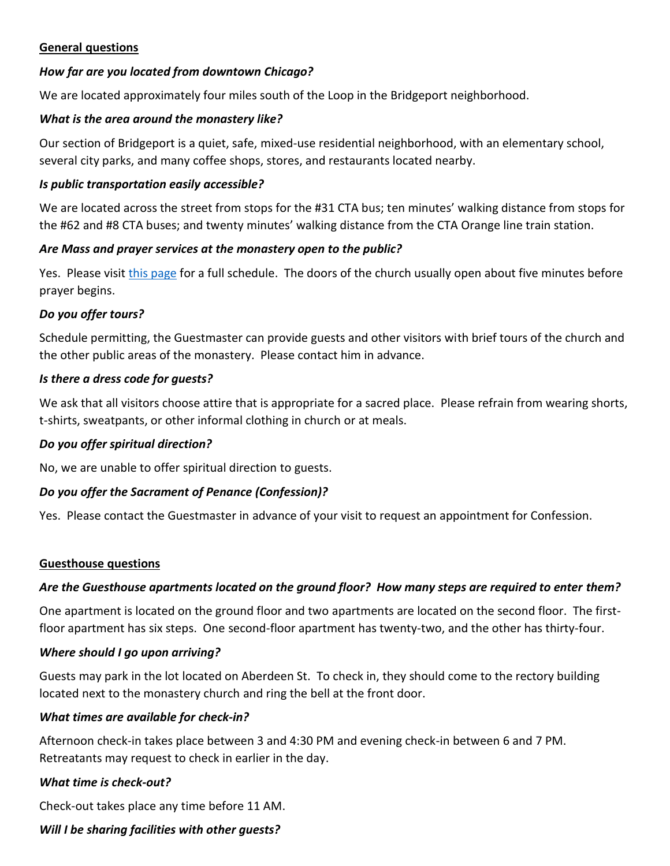## **General questions**

## *How far are you located from downtown Chicago?*

We are located approximately four miles south of the Loop in the Bridgeport neighborhood.

### *What is the area around the monastery like?*

Our section of Bridgeport is a quiet, safe, mixed-use residential neighborhood, with an elementary school, several city parks, and many coffee shops, stores, and restaurants located nearby.

### *Is public transportation easily accessible?*

We are located across the street from stops for the #31 CTA bus; ten minutes' walking distance from stops for the #62 and #8 CTA buses; and twenty minutes' walking distance from the CTA Orange line train station.

### *Are Mass and prayer services at the monastery open to the public?*

Yes. Please visit [this page](https://chicagomonk.org/visit-us/prayer/) for a full schedule. The doors of the church usually open about five minutes before prayer begins.

### *Do you offer tours?*

Schedule permitting, the Guestmaster can provide guests and other visitors with brief tours of the church and the other public areas of the monastery. Please contact him in advance.

### *Is there a dress code for guests?*

We ask that all visitors choose attire that is appropriate for a sacred place. Please refrain from wearing shorts, t-shirts, sweatpants, or other informal clothing in church or at meals.

### *Do you offer spiritual direction?*

No, we are unable to offer spiritual direction to guests.

## *Do you offer the Sacrament of Penance (Confession)?*

Yes. Please contact the Guestmaster in advance of your visit to request an appointment for Confession.

### **Guesthouse questions**

### *Are the Guesthouse apartments located on the ground floor? How many steps are required to enter them?*

One apartment is located on the ground floor and two apartments are located on the second floor. The firstfloor apartment has six steps. One second-floor apartment has twenty-two, and the other has thirty-four.

### *Where should I go upon arriving?*

Guests may park in the lot located on Aberdeen St. To check in, they should come to the rectory building located next to the monastery church and ring the bell at the front door.

### *What times are available for check-in?*

Afternoon check-in takes place between 3 and 4:30 PM and evening check-in between 6 and 7 PM. Retreatants may request to check in earlier in the day.

### *What time is check-out?*

Check-out takes place any time before 11 AM.

## *Will I be sharing facilities with other guests?*